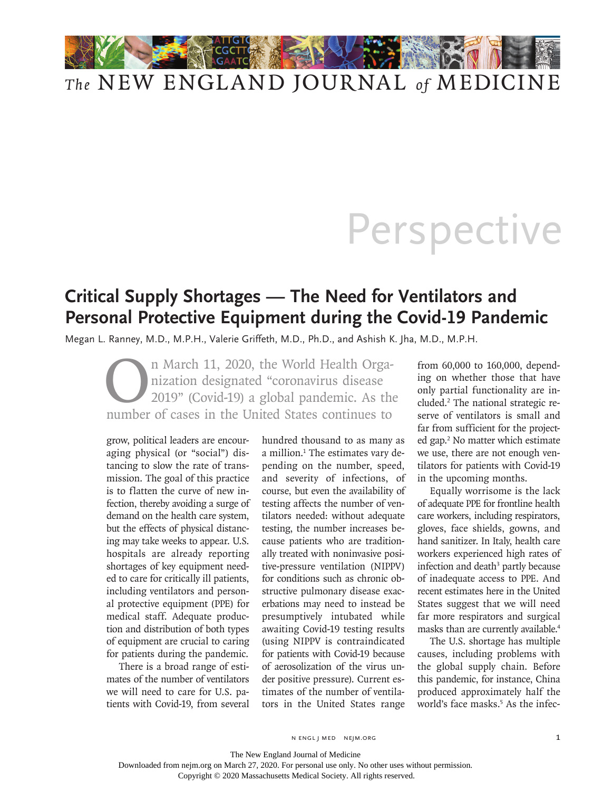## *The* NEW ENGLAND JOURNAL *of* MEDICINE

## **Perspective**

## **Critical Supply Shortages — The Need for Ventilators and Personal Protective Equipment during the Covid-19 Pandemic**

Megan L. Ranney, M.D., M.P.H., Valerie Griffeth, M.D., Ph.D., and Ashish K. Jha, M.D., M.P.H.

In March 11, 2020, the World Health Organization designated "coronavirus disease"<br>2019" (Covid-19) a global pandemic. As the number of cases in the United States continues to nization designated "coronavirus disease 2019" (Covid-19) a global pandemic. As the number of cases in the United States continues to

grow, political leaders are encouraging physical (or "social") distancing to slow the rate of transmission. The goal of this practice is to flatten the curve of new infection, thereby avoiding a surge of demand on the health care system, but the effects of physical distancing may take weeks to appear. U.S. hospitals are already reporting shortages of key equipment needed to care for critically ill patients, including ventilators and personal protective equipment (PPE) for medical staff. Adequate production and distribution of both types of equipment are crucial to caring for patients during the pandemic.

There is a broad range of estimates of the number of ventilators we will need to care for U.S. patients with Covid-19, from several

hundred thousand to as many as a million.<sup>1</sup> The estimates vary depending on the number, speed, and severity of infections, of course, but even the availability of testing affects the number of ventilators needed: without adequate testing, the number increases because patients who are traditionally treated with noninvasive positive-pressure ventilation (NIPPV) for conditions such as chronic obstructive pulmonary disease exacerbations may need to instead be presumptively intubated while awaiting Covid-19 testing results (using NIPPV is contraindicated for patients with Covid-19 because of aerosolization of the virus under positive pressure). Current estimates of the number of ventilators in the United States range

from 60,000 to 160,000, depending on whether those that have only partial functionality are included.2 The national strategic reserve of ventilators is small and far from sufficient for the projected gap.<sup>2</sup> No matter which estimate we use, there are not enough ventilators for patients with Covid-19 in the upcoming months.

Equally worrisome is the lack of adequate PPE for frontline health care workers, including respirators, gloves, face shields, gowns, and hand sanitizer. In Italy, health care workers experienced high rates of infection and death<sup>3</sup> partly because of inadequate access to PPE. And recent estimates here in the United States suggest that we will need far more respirators and surgical masks than are currently available.<sup>4</sup>

The U.S. shortage has multiple causes, including problems with the global supply chain. Before this pandemic, for instance, China produced approximately half the world's face masks.<sup>5</sup> As the infec-

n engl j med nejm.org 1

The New England Journal of Medicine

Downloaded from nejm.org on March 27, 2020. For personal use only. No other uses without permission.

Copyright © 2020 Massachusetts Medical Society. All rights reserved.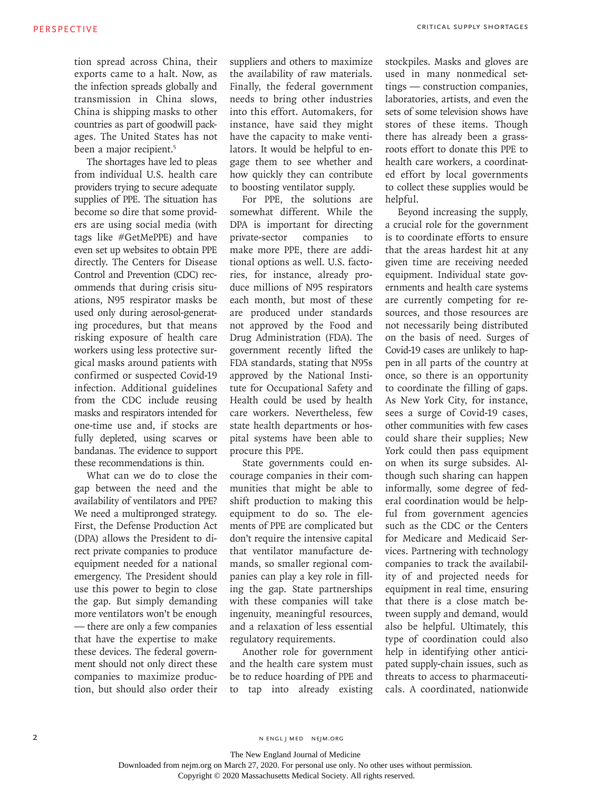tion spread across China, their exports came to a halt. Now, as the infection spreads globally and transmission in China slows, China is shipping masks to other countries as part of goodwill packages. The United States has not been a major recipient.<sup>5</sup>

The shortages have led to pleas from individual U.S. health care providers trying to secure adequate supplies of PPE. The situation has become so dire that some providers are using social media (with tags like #GetMePPE) and have even set up websites to obtain PPE directly. The Centers for Disease Control and Prevention (CDC) recommends that during crisis situations, N95 respirator masks be used only during aerosol-generating procedures, but that means risking exposure of health care workers using less protective surgical masks around patients with confirmed or suspected Covid-19 infection. Additional guidelines from the CDC include reusing masks and respirators intended for one-time use and, if stocks are fully depleted, using scarves or bandanas. The evidence to support these recommendations is thin.

What can we do to close the gap between the need and the availability of ventilators and PPE? We need a multipronged strategy. First, the Defense Production Act (DPA) allows the President to direct private companies to produce equipment needed for a national emergency. The President should use this power to begin to close the gap. But simply demanding more ventilators won't be enough — there are only a few companies that have the expertise to make these devices. The federal government should not only direct these companies to maximize production, but should also order their suppliers and others to maximize the availability of raw materials. Finally, the federal government needs to bring other industries into this effort. Automakers, for instance, have said they might have the capacity to make ventilators. It would be helpful to engage them to see whether and how quickly they can contribute to boosting ventilator supply.

For PPE, the solutions are somewhat different. While the DPA is important for directing private-sector companies to make more PPE, there are additional options as well. U.S. factories, for instance, already produce millions of N95 respirators each month, but most of these are produced under standards not approved by the Food and Drug Administration (FDA). The government recently lifted the FDA standards, stating that N95s approved by the National Institute for Occupational Safety and Health could be used by health care workers. Nevertheless, few state health departments or hospital systems have been able to procure this PPE.

State governments could encourage companies in their communities that might be able to shift production to making this equipment to do so. The elements of PPE are complicated but don't require the intensive capital that ventilator manufacture demands, so smaller regional companies can play a key role in filling the gap. State partnerships with these companies will take ingenuity, meaningful resources, and a relaxation of less essential regulatory requirements.

Another role for government and the health care system must be to reduce hoarding of PPE and to tap into already existing stockpiles. Masks and gloves are used in many nonmedical settings — construction companies, laboratories, artists, and even the sets of some television shows have stores of these items. Though there has already been a grassroots effort to donate this PPE to health care workers, a coordinated effort by local governments to collect these supplies would be helpful.

Beyond increasing the supply, a crucial role for the government is to coordinate efforts to ensure that the areas hardest hit at any given time are receiving needed equipment. Individual state governments and health care systems are currently competing for resources, and those resources are not necessarily being distributed on the basis of need. Surges of Covid-19 cases are unlikely to happen in all parts of the country at once, so there is an opportunity to coordinate the filling of gaps. As New York City, for instance, sees a surge of Covid-19 cases, other communities with few cases could share their supplies; New York could then pass equipment on when its surge subsides. Although such sharing can happen informally, some degree of federal coordination would be helpful from government agencies such as the CDC or the Centers for Medicare and Medicaid Services. Partnering with technology companies to track the availability of and projected needs for equipment in real time, ensuring that there is a close match between supply and demand, would also be helpful. Ultimately, this type of coordination could also help in identifying other anticipated supply-chain issues, such as threats to access to pharmaceuticals. A coordinated, nationwide

n engl j med nejm.org

The New England Journal of Medicine

Downloaded from nejm.org on March 27, 2020. For personal use only. No other uses without permission.

Copyright © 2020 Massachusetts Medical Society. All rights reserved.